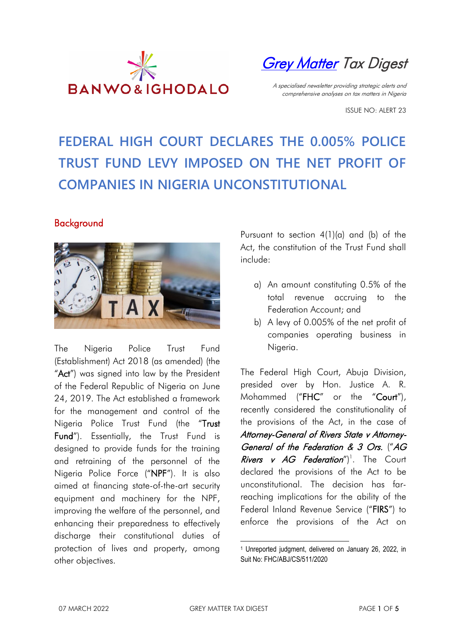

**[Grey Matter](https://www.banwo-ighodalo.com/grey-matter) Tax Digest** 

A specialised newsletter providing strategic alerts and comprehensive analyses on tax matters in Nigeria

ISSUE NO: ALERT 23

# **FEDERAL HIGH COURT DECLARES THE 0.005% POLICE TRUST FUND LEVY IMPOSED ON THE NET PROFIT OF COMPANIES IN NIGERIA UNCONSTITUTIONAL**

### Background



The Nigeria Police Trust Fund (Establishment) Act 2018 (as amended) (the "Act") was signed into law by the President of the Federal Republic of Nigeria on June 24, 2019. The Act established a framework for the management and control of the Nigeria Police Trust Fund (the "Trust Fund"). Essentially, the Trust Fund is designed to provide funds for the training and retraining of the personnel of the Nigeria Police Force ("NPF"). It is also aimed at financing state-of-the-art security equipment and machinery for the NPF, improving the welfare of the personnel, and enhancing their preparedness to effectively discharge their constitutional duties of protection of lives and property, among other objectives.

Pursuant to section 4(1)(a) and (b) of the Act, the constitution of the Trust Fund shall include:

- a) An amount constituting 0.5% of the total revenue accruing to the Federation Account; and
- b) A levy of 0.005% of the net profit of companies operating business in Nigeria.

The Federal High Court, Abuja Division, presided over by Hon. Justice A. R. Mohammed ("FHC" or the "Court"), recently considered the constitutionality of the provisions of the Act, in the case of Attorney-General of Rivers State v Attorney-General of the Federation & 3 Ors. ("AG *Rivers v AG Federation*")<sup>1</sup>. The Court declared the provisions of the Act to be unconstitutional. The decision has farreaching implications for the ability of the Federal Inland Revenue Service ("FIRS") to enforce the provisions of the Act on

 <sup>1</sup> Unreported judgment, delivered on January 26, 2022, in Suit No: FHC/ABJ/CS/511/2020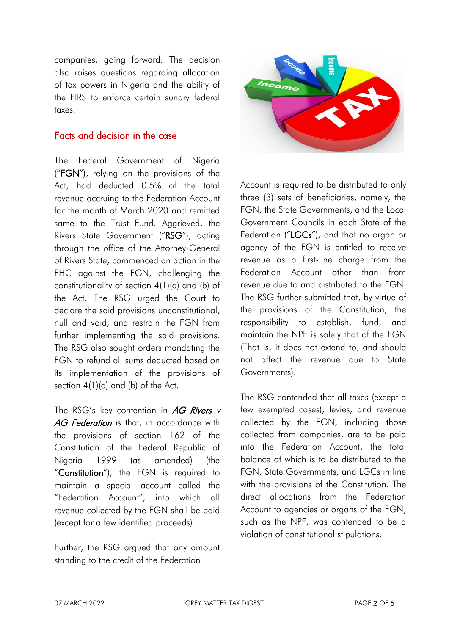companies, going forward. The decision also raises questions regarding allocation of tax powers in Nigeria and the ability of the FIRS to enforce certain sundry federal taxes.

#### Facts and decision in the case

The Federal Government of Nigeria ("FGN"), relying on the provisions of the Act, had deducted 0.5% of the total revenue accruing to the Federation Account for the month of March 2020 and remitted same to the Trust Fund. Aggrieved, the Rivers State Government ("RSG"), acting through the office of the Attorney-General of Rivers State, commenced an action in the FHC against the FGN, challenging the constitutionality of section 4(1)(a) and (b) of the Act. The RSG urged the Court to declare the said provisions unconstitutional, null and void, and restrain the FGN from further implementing the said provisions. The RSG also sought orders mandating the FGN to refund all sums deducted based on its implementation of the provisions of section 4(1)(a) and (b) of the Act.

The RSG's key contention in  $AG$  Rivers v AG Federation is that, in accordance with the provisions of section 162 of the Constitution of the Federal Republic of Nigeria 1999 (as amended) (the "Constitution"), the FGN is required to maintain a special account called the "Federation Account", into which all revenue collected by the FGN shall be paid (except for a few identified proceeds).

Further, the RSG argued that any amount standing to the credit of the Federation



Account is required to be distributed to only three (3) sets of beneficiaries, namely, the FGN, the State Governments, and the Local Government Councils in each State of the Federation ("LGCs"), and that no organ or agency of the FGN is entitled to receive revenue as a first-line charge from the Federation Account other than from revenue due to and distributed to the FGN. The RSG further submitted that, by virtue of the provisions of the Constitution, the responsibility to establish, fund, and maintain the NPF is solely that of the FGN (That is, it does not extend to, and should not affect the revenue due to State Governments).

The RSG contended that all taxes (except a few exempted cases), levies, and revenue collected by the FGN, including those collected from companies, are to be paid into the Federation Account, the total balance of which is to be distributed to the FGN, State Governments, and LGCs in line with the provisions of the Constitution. The direct allocations from the Federation Account to agencies or organs of the FGN, such as the NPF, was contended to be a violation of constitutional stipulations.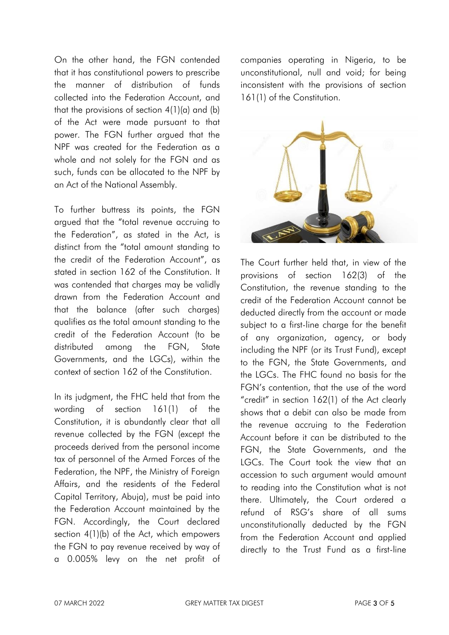On the other hand, the FGN contended that it has constitutional powers to prescribe the manner of distribution of funds collected into the Federation Account, and that the provisions of section  $4(1)(a)$  and  $(b)$ of the Act were made pursuant to that power. The FGN further argued that the NPF was created for the Federation as a whole and not solely for the FGN and as such, funds can be allocated to the NPF by an Act of the National Assembly.

To further buttress its points, the FGN argued that the "total revenue accruing to the Federation", as stated in the Act, is distinct from the "total amount standing to the credit of the Federation Account", as stated in section 162 of the Constitution. It was contended that charges may be validly drawn from the Federation Account and that the balance (after such charges) qualifies as the total amount standing to the credit of the Federation Account (to be distributed among the FGN, State Governments, and the LGCs), within the context of section 162 of the Constitution.

In its judgment, the FHC held that from the wording of section 161(1) of the Constitution, it is abundantly clear that all revenue collected by the FGN (except the proceeds derived from the personal income tax of personnel of the Armed Forces of the Federation, the NPF, the Ministry of Foreign Affairs, and the residents of the Federal Capital Territory, Abuja), must be paid into the Federation Account maintained by the FGN. Accordingly, the Court declared section 4(1)(b) of the Act, which empowers the FGN to pay revenue received by way of a 0.005% levy on the net profit of companies operating in Nigeria, to be unconstitutional, null and void; for being inconsistent with the provisions of section 161(1) of the Constitution.



The Court further held that, in view of the provisions of section 162(3) of the Constitution, the revenue standing to the credit of the Federation Account cannot be deducted directly from the account or made subject to a first-line charge for the benefit of any organization, agency, or body including the NPF (or its Trust Fund), except to the FGN, the State Governments, and the LGCs. The FHC found no basis for the FGN's contention, that the use of the word "credit" in section 162(1) of the Act clearly shows that a debit can also be made from the revenue accruing to the Federation Account before it can be distributed to the FGN, the State Governments, and the LGCs. The Court took the view that an accession to such argument would amount to reading into the Constitution what is not there. Ultimately, the Court ordered a refund of RSG's share of all sums unconstitutionally deducted by the FGN from the Federation Account and applied directly to the Trust Fund as a first-line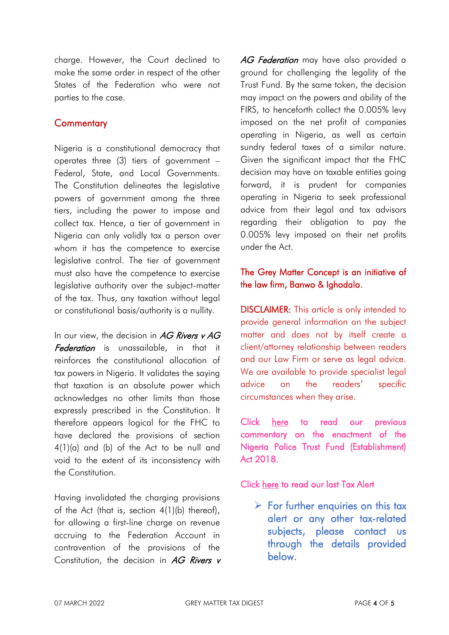charge. However, the Court declined to make the same order in respect of the other States of the Federation who were not parties to the case.

## **Commentary**

Nigeria is a constitutional democracy that operates three (3) tiers of government – Federal, State, and Local Governments. The Constitution delineates the legislative powers of government among the three tiers, including the power to impose and collect tax. Hence, a tier of government in Nigeria can only validly tax a person over whom it has the competence to exercise legislative control. The tier of government must also have the competence to exercise legislative authority over the subject-matter of the tax. Thus, any taxation without legal or constitutional basis/authority is a nullity.

In our view, the decision in  $AG$  Rivers v AG Federation is unassailable, in that it reinforces the constitutional allocation of tax powers in Nigeria. It validates the saying that taxation is an absolute power which acknowledges no other limits than those expressly prescribed in the Constitution. It therefore appears logical for the FHC to have declared the provisions of section 4(1)(a) and (b) of the Act to be null and void to the extent of its inconsistency with the Constitution.

Having invalidated the charging provisions of the Act (that is, section 4(1)(b) thereof), for allowing a first-line charge on revenue accruing to the Federation Account in contravention of the provisions of the Constitution, the decision in  $AG$  Rivers v AG Federation may have also provided a ground for challenging the legality of the Trust Fund. By the same token, the decision may impact on the powers and ability of the FIRS, to henceforth collect the 0.005% levy imposed on the net profit of companies operating in Nigeria, as well as certain sundry federal taxes of a similar nature. Given the significant impact that the FHC decision may have on taxable entities going forward, it is prudent for companies operating in Nigeria to seek professional advice from their legal and tax advisors regarding their obligation to pay the 0.005% levy imposed on their net profits under the Act.

## The Grey Matter Concept is an initiative of the law firm, Banwo & Ighodalo.

DISCLAIMER: This article is only intended to provide general information on the subject matter and does not by itself create a client/attorney relationship between readers and our Law Firm or serve as legal advice. We are available to provide specialist legal advice on the readers' specific circumstances when they arise.

Click [here](https://www.banwo-ighodalo.com/grey-matter/companies-operating-nigeria-pay-profit-levy-nptf-establishment-act-2018) to read our previous commentary on the enactment of the Nigeria Police Trust Fund (Establishment) Act 2018.

Click [here](https://www.banwo-ighodalo.com/assets/grey-matter/edc5770339c16164176cd24eb6803c05.pdf) to read our last Tax Alert

 $\triangleright$  For further enquiries on this tax alert or any other tax-related subjects, please contact us through the details provided below.